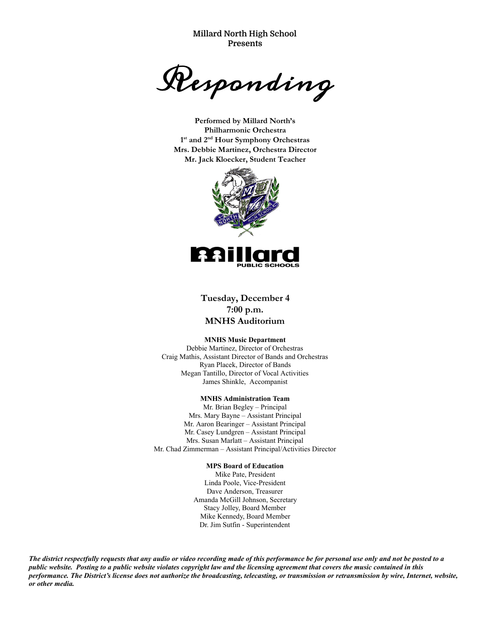**Millard North High School Presents**

Responding

**Performed by Millard North's Philharmonic Orchestra 1st and 2nd Hour Symphony Orchestras Mrs. Debbie Martinez, Orchestra Director Mr. Jack Kloecker, Student Teacher**



**Tuesday, December 4 7:00 p.m. MNHS Auditorium**

#### **MNHS Music Department**

Debbie Martinez, Director of Orchestras Craig Mathis, Assistant Director of Bands and Orchestras Ryan Placek, Director of Bands Megan Tantillo, Director of Vocal Activities James Shinkle, Accompanist

#### **MNHS Administration Team**

Mr. Brian Begley – Principal Mrs. Mary Bayne – Assistant Principal Mr. Aaron Bearinger – Assistant Principal Mr. Casey Lundgren – Assistant Principal Mrs. Susan Marlatt – Assistant Principal Mr. Chad Zimmerman – Assistant Principal/Activities Director

#### **MPS Board of Education**

Mike Pate, President Linda Poole, Vice-President Dave Anderson, Treasurer Amanda McGill Johnson, Secretary Stacy Jolley, Board Member Mike Kennedy, Board Member Dr. Jim Sutfin - Superintendent

*The district respectfully requests that any audio or video recording made of this performance be for personal use only and not be posted to a public website. Posting to a public website violates copyright law and the licensing agreement that covers the music contained in this performance. The District's license does not authorize the broadcasting, telecasting, or transmission or retransmission by wire, Internet, website, or other media.*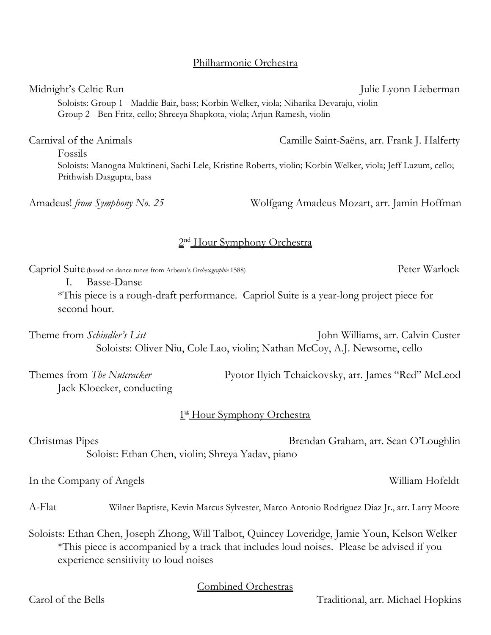# Philharmonic Orchestra

Midnight's Celtic Run Julie Lyonn Lieberman Soloists: Group 1 - Maddie Bair, bass; Korbin Welker, viola; Niharika Devaraju, violin Group 2 - Ben Fritz, cello; Shreeya Shapkota, viola; Arjun Ramesh, violin

Carnival of the Animals Camille Saint-Saëns, arr. Frank J. Halferty Fossils Soloists: Manogna Muktineni, Sachi Lele, Kristine Roberts, violin; Korbin Welker, viola; Jeff Luzum, cello; Prithwish Dasgupta, bass

Amadeus! *from Symphony No. 25* Wolfgang Amadeus Mozart, arr. Jamin Hoffman

# 2<sup>nd</sup> Hour Symphony Orchestra

Capriol Suite (based on dance tunes from Arbeau's *Orchesographie* 1588) Peter Warlock

I. Basse-Danse

\*This piece is a rough-draft performance. Capriol Suite is a year-long project piece for second hour.

Theme from *Schindler's List* John Williams, arr. Calvin Custer Soloists: Oliver Niu, Cole Lao, violin; Nathan McCoy, A.J. Newsome, cello

Jack Kloecker, conducting

Themes from *The Nutcracker* Pyotor Ilyich Tchaickovsky, arr. James "Red" McLeod

# 1st Hour Symphony Orchestra

| Christmas Pipes                                  | Brendan Graham, arr. Sean O'Loughlin |  |
|--------------------------------------------------|--------------------------------------|--|
| Soloist: Ethan Chen, violin; Shreya Yadav, piano |                                      |  |

In the Company of Angels William Hofeldt

A-Flat Wilner Baptiste, Kevin Marcus Sylvester, Marco Antonio Rodriguez Diaz Jr., arr. Larry Moore

Soloists: Ethan Chen, Joseph Zhong, Will Talbot, Quincey Loveridge, Jamie Youn, Kelson Welker \*This piece is accompanied by a track that includes loud noises. Please be advised if you experience sensitivity to loud noises

Combined Orchestras

Carol of the Bells Traditional, arr. Michael Hopkins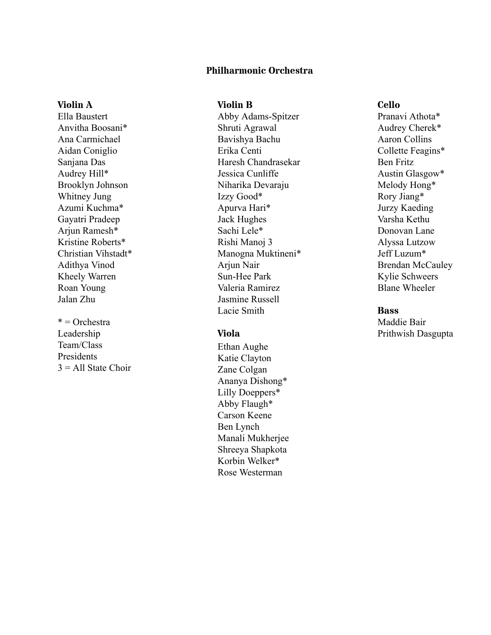# **Philharmonic Orchestra**

### **Violin A**

Ella Baustert Anvitha Boosani\* Ana Carmichael Aidan Coniglio Sanjana Das Audrey Hill\* Brooklyn Johnson Whitney Jung Azumi Kuchma\* Gayatri Pradeep Arjun Ramesh\* Kristine Roberts\* Christian Vihstadt\* Adithya Vinod Kheely Warren Roan Young Jalan Zhu

 $*$  = Orchestra Leadership Team/Class Presidents  $3 =$  All State Choir

# **Violin B**

Abby Adams-Spitzer Shruti Agrawal Bavishya Bachu Erika Centi Haresh Chandrasekar Jessica Cunliffe Niharika Devaraju Izzy Good\* Apurva Hari\* Jack Hughes Sachi Lele\* Rishi Manoj 3 Manogna Muktineni\* Arjun Nair Sun-Hee Park Valeria Ramirez Jasmine Russell Lacie Smith

# **Viola**

Ethan Aughe Katie Clayton Zane Colgan Ananya Dishong\* Lilly Doeppers\* Abby Flaugh\* Carson Keene Ben Lynch Manali Mukherjee Shreeya Shapkota Korbin Welker\* Rose Westerman

# **Cello**

Pranavi Athota\* Audrey Cherek\* Aaron Collins Collette Feagins\* Ben Fritz Austin Glasgow\* Melody Hong\* Rory Jiang\* Jurzy Kaeding Varsha Kethu Donovan Lane Alyssa Lutzow Jeff Luzum\* Brendan McCauley Kylie Schweers Blane Wheeler

#### **Bass**

Maddie Bair Prithwish Dasgupta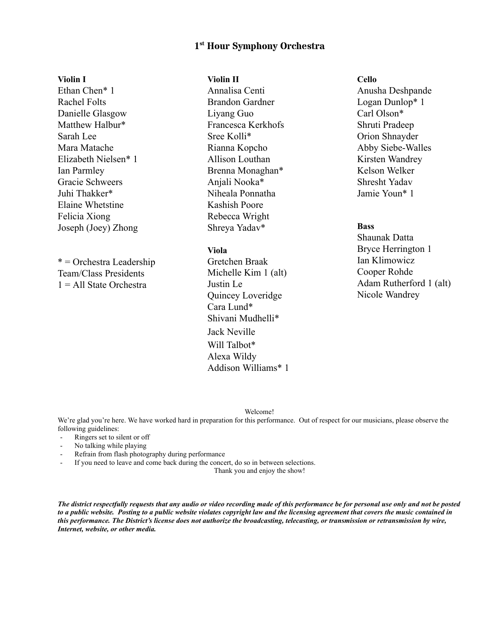# **1 st Hour Symphony Orchestra**

#### **Violin I**

Ethan Chen\* 1 Rachel Folts Danielle Glasgow Matthew Halbur\* Sarah Lee Mara Matache Elizabeth Nielsen\* 1 Ian Parmley Gracie Schweers Juhi Thakker\* Elaine Whetstine Felicia Xiong Joseph (Joey) Zhong

\* = Orchestra Leadership Team/Class Presidents 1 = All State Orchestra

# **Violin II**

Annalisa Centi Brandon Gardner Liyang Guo Francesca Kerkhofs Sree Kolli\* Rianna Kopcho Allison Louthan Brenna Monaghan\* Anjali Nooka\* Niheala Ponnatha Kashish Poore Rebecca Wright Shreya Yadav\*

#### **Viola**

Gretchen Braak Michelle Kim 1 (alt) Justin Le Quincey Loveridge Cara Lund\* Shivani Mudhelli\* Jack Neville Will Talbot\* Alexa Wildy Addison Williams\* 1

# **Cello**

Anusha Deshpande Logan Dunlop\* 1 Carl Olson\* Shruti Pradeep Orion Shnayder Abby Siebe-Walles Kirsten Wandrey Kelson Welker Shresht Yadav Jamie Youn\* 1

# **Bass**

Shaunak Datta Bryce Herrington 1 Ian Klimowicz Cooper Rohde Adam Rutherford 1 (alt) Nicole Wandrey

#### Welcome!

We're glad you're here. We have worked hard in preparation for this performance. Out of respect for our musicians, please observe the following guidelines:

- Ringers set to silent or off
- No talking while playing
- Refrain from flash photography during performance
- If you need to leave and come back during the concert, do so in between selections.

Thank you and enjoy the show!

*The district respectfully requests that any audio or video recording made of this performance be for personal use only and not be posted to a public website. Posting to a public website violates copyright law and the licensing agreement that covers the music contained in this performance. The District's license does not authorize the broadcasting, telecasting, or transmission or retransmission by wire, Internet, website, or other media.*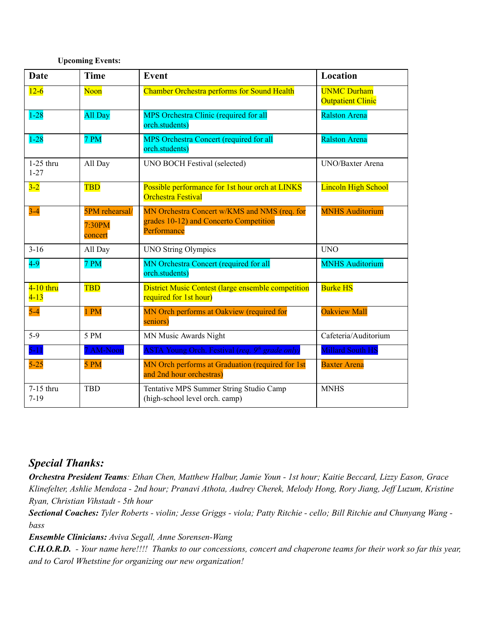## **Upcoming Events:**

| <b>Date</b>             | <b>Time</b>                                | <b>Event</b>                                                                                          | Location                                       |
|-------------------------|--------------------------------------------|-------------------------------------------------------------------------------------------------------|------------------------------------------------|
| $12 - 6$                | Noon                                       | <b>Chamber Orchestra performs for Sound Health</b>                                                    | <b>UNMC Durham</b><br><b>Outpatient Clinic</b> |
| $1 - 28$                | All Day                                    | MPS Orchestra Clinic (required for all<br>orch.students)                                              | <b>Ralston Arena</b>                           |
| $1 - 28$                | 7 PM                                       | MPS Orchestra Concert (required for all<br>orch.students)                                             | <b>Ralston Arena</b>                           |
| $1-25$ thru<br>$1 - 27$ | All Day                                    | UNO BOCH Festival (selected)                                                                          | UNO/Baxter Arena                               |
| $3-2$                   | <b>TBD</b>                                 | Possible performance for 1st hour orch at LINKS<br><b>Orchestra Festival</b>                          | <b>Lincoln High School</b>                     |
| $3 - 4$                 | <b>5PM</b> rehearsal/<br>7:30PM<br>concert | MN Orchestra Concert w/KMS and NMS (req. for<br>grades 10-12) and Concerto Competition<br>Performance | <b>MNHS Auditorium</b>                         |
| $3 - 16$                | All Day                                    | <b>UNO String Olympics</b>                                                                            | <b>UNO</b>                                     |
| $4-9$                   | 7 PM                                       | MN Orchestra Concert (required for all<br>orch.students)                                              | <b>MNHS Auditorium</b>                         |
| $4-10$ thru<br>$4 - 13$ | <b>TBD</b>                                 | <b>District Music Contest (large ensemble competition</b><br>required for 1st hour)                   | <b>Burke HS</b>                                |
| $5-4$                   | 1 PM                                       | MN Orch performs at Oakview (required for<br>seniors)                                                 | <b>Oakview Mall</b>                            |
| $5-9$                   | 5 PM                                       | MN Music Awards Night                                                                                 | Cafeteria/Auditorium                           |
| $5 - 11$                | 7 AM-Noon                                  | ASTA Young Orch. Festival (req. 9th grade only)                                                       | <b>Millard South HS</b>                        |
| $5-25$                  | 5 PM                                       | MN Orch performs at Graduation (required for 1st<br>and 2nd hour orchestras)                          | <b>Baxter Arena</b>                            |
| 7-15 thru<br>$7 - 19$   | <b>TBD</b>                                 | Tentative MPS Summer String Studio Camp<br>(high-school level orch. camp)                             | <b>MNHS</b>                                    |

# *Special Thanks:*

Orchestra President Teams: Ethan Chen, Matthew Halbur, Jamie Youn - 1st hour; Kaitie Beccard, Lizzy Eason, Grace Klinefelter, Ashlie Mendoza - 2nd hour; Pranavi Athota, Audrey Cherek, Melody Hong, Rory Jiang, Jeff Luzum, Kristine *Ryan, Christian Vihstadt 5th hour*

Sectional Coaches: Tyler Roberts - violin; Jesse Griggs - viola; Patty Ritchie - cello; Bill Ritchie and Chunyang Wang *bass*

*Ensemble Clinicians: Aviva Segall, Anne SorensenWang*

**C.H.O.R.D.** - Your name here!!!! Thanks to our concessions, concert and chaperone teams for their work so far this year, *and to Carol Whetstine for organizing our new organization!*